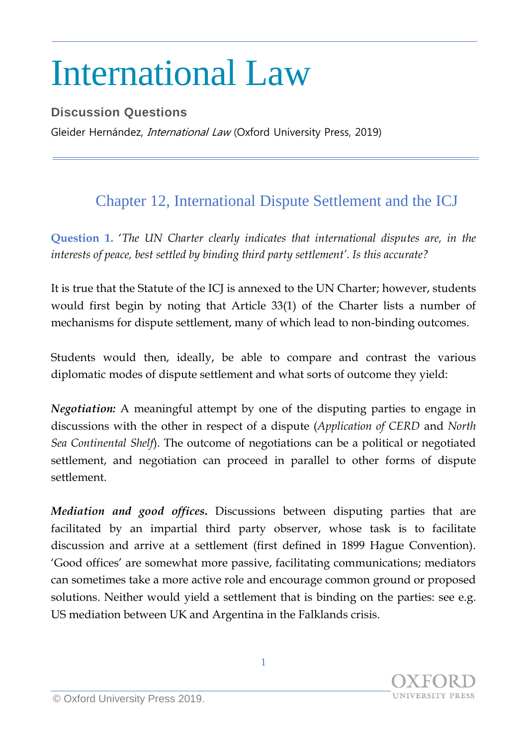## International Law

**Discussion Questions** Gleider Hernández, *International Law* (Oxford University Press, 2019)

## Chapter 12, International Dispute Settlement and the ICJ

**Question 1.** '*The UN Charter clearly indicates that international disputes are, in the interests of peace, best settled by binding third party settlement'. Is this accurate?*

It is true that the Statute of the ICJ is annexed to the UN Charter; however, students would first begin by noting that Article 33(1) of the Charter lists a number of mechanisms for dispute settlement, many of which lead to non-binding outcomes.

Students would then, ideally, be able to compare and contrast the various diplomatic modes of dispute settlement and what sorts of outcome they yield:

*Negotiation:* A meaningful attempt by one of the disputing parties to engage in discussions with the other in respect of a dispute (*Application of CERD* and *North Sea Continental Shelf*). The outcome of negotiations can be a political or negotiated settlement, and negotiation can proceed in parallel to other forms of dispute settlement.

*Mediation and good offices***.** Discussions between disputing parties that are facilitated by an impartial third party observer, whose task is to facilitate discussion and arrive at a settlement (first defined in 1899 Hague Convention). 'Good offices' are somewhat more passive, facilitating communications; mediators can sometimes take a more active role and encourage common ground or proposed solutions. Neither would yield a settlement that is binding on the parties: see e.g. US mediation between UK and Argentina in the Falklands crisis.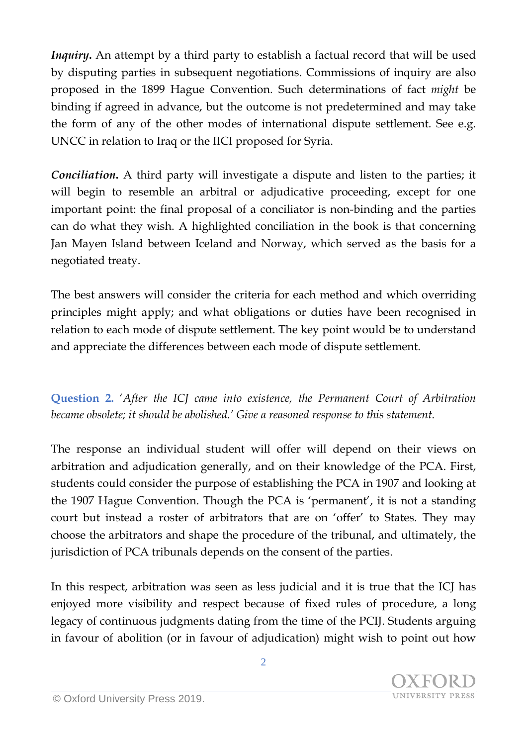*Inquiry***.** An attempt by a third party to establish a factual record that will be used by disputing parties in subsequent negotiations. Commissions of inquiry are also proposed in the 1899 Hague Convention. Such determinations of fact *might* be binding if agreed in advance, but the outcome is not predetermined and may take the form of any of the other modes of international dispute settlement. See e.g. UNCC in relation to Iraq or the IICI proposed for Syria.

*Conciliation***.** A third party will investigate a dispute and listen to the parties; it will begin to resemble an arbitral or adjudicative proceeding, except for one important point: the final proposal of a conciliator is non-binding and the parties can do what they wish. A highlighted conciliation in the book is that concerning Jan Mayen Island between Iceland and Norway, which served as the basis for a negotiated treaty.

The best answers will consider the criteria for each method and which overriding principles might apply; and what obligations or duties have been recognised in relation to each mode of dispute settlement. The key point would be to understand and appreciate the differences between each mode of dispute settlement.

**Question 2.** '*After the ICJ came into existence, the Permanent Court of Arbitration became obsolete; it should be abolished.' Give a reasoned response to this statement.*

The response an individual student will offer will depend on their views on arbitration and adjudication generally, and on their knowledge of the PCA. First, students could consider the purpose of establishing the PCA in 1907 and looking at the 1907 Hague Convention. Though the PCA is 'permanent', it is not a standing court but instead a roster of arbitrators that are on 'offer' to States. They may choose the arbitrators and shape the procedure of the tribunal, and ultimately, the jurisdiction of PCA tribunals depends on the consent of the parties.

In this respect, arbitration was seen as less judicial and it is true that the ICJ has enjoyed more visibility and respect because of fixed rules of procedure, a long legacy of continuous judgments dating from the time of the PCIJ. Students arguing in favour of abolition (or in favour of adjudication) might wish to point out how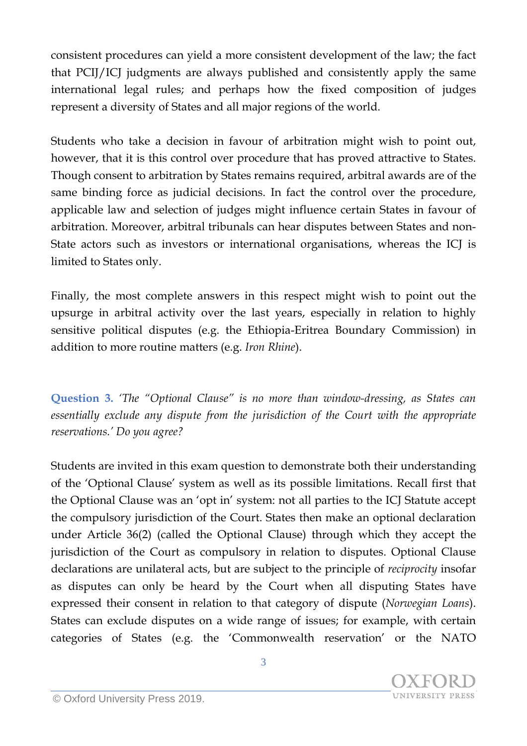consistent procedures can yield a more consistent development of the law; the fact that PCIJ/ICJ judgments are always published and consistently apply the same international legal rules; and perhaps how the fixed composition of judges represent a diversity of States and all major regions of the world.

Students who take a decision in favour of arbitration might wish to point out, however, that it is this control over procedure that has proved attractive to States. Though consent to arbitration by States remains required, arbitral awards are of the same binding force as judicial decisions. In fact the control over the procedure, applicable law and selection of judges might influence certain States in favour of arbitration. Moreover, arbitral tribunals can hear disputes between States and non-State actors such as investors or international organisations, whereas the ICJ is limited to States only.

Finally, the most complete answers in this respect might wish to point out the upsurge in arbitral activity over the last years, especially in relation to highly sensitive political disputes (e.g. the Ethiopia-Eritrea Boundary Commission) in addition to more routine matters (e.g. *Iron Rhine*).

**Question 3.** *'The "Optional Clause" is no more than window-dressing, as States can essentially exclude any dispute from the jurisdiction of the Court with the appropriate reservations.' Do you agree?*

Students are invited in this exam question to demonstrate both their understanding of the 'Optional Clause' system as well as its possible limitations. Recall first that the Optional Clause was an 'opt in' system: not all parties to the ICJ Statute accept the compulsory jurisdiction of the Court. States then make an optional declaration under Article 36(2) (called the Optional Clause) through which they accept the jurisdiction of the Court as compulsory in relation to disputes. Optional Clause declarations are unilateral acts, but are subject to the principle of *reciprocity* insofar as disputes can only be heard by the Court when all disputing States have expressed their consent in relation to that category of dispute (*Norwegian Loans*). States can exclude disputes on a wide range of issues; for example, with certain categories of States (e.g. the 'Commonwealth reservation' or the NATO